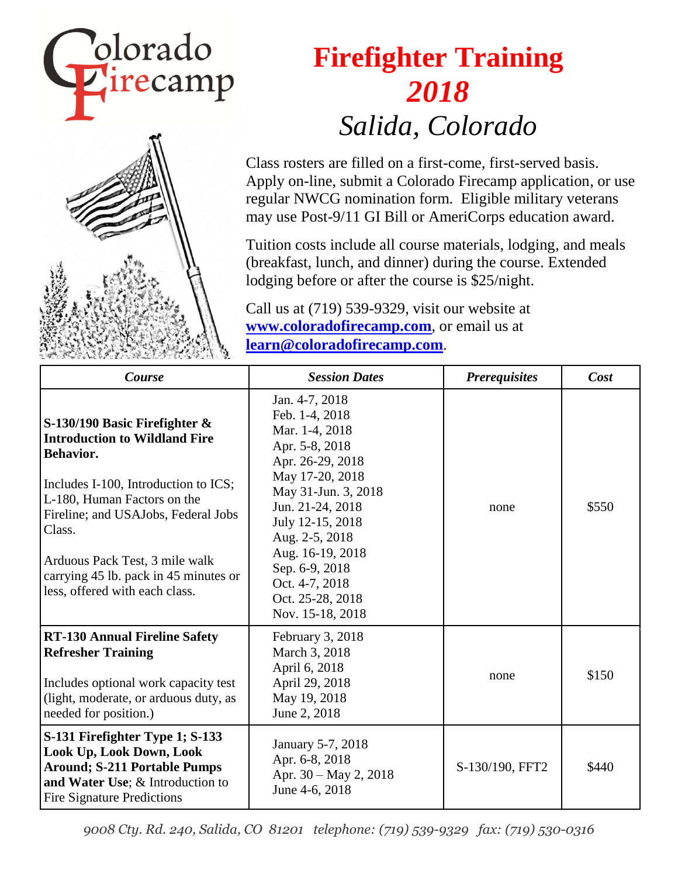



## **Firefighter Training** *2018 Salida, Colorado*

Class rosters are filled on a first-come, first-served basis. Apply on-line, submit a Colorado Firecamp application, or use regular NWCG nomination form. Eligible military veterans may use Post-9/11 GI Bill or AmeriCorps education award.

Tuition costs include all course materials, lodging, and meals (breakfast, lunch, and dinner) during the course. Extended lodging before or after the course is \$25/night.

Call us at (719) 539-9329, visit our website at **[www.coloradofirecamp.com](http://www.coloradofirecamp.com/)**, or email us at **[learn@coloradofirecamp.com](mailto:learn@coloradofirecamp.com)**.

| Course                                                                                                                                                                                                                                                                                                                            | <b>Session Dates</b>                                                                                                                                                                                                                                                                         | <b>Prerequisites</b> | Cost  |
|-----------------------------------------------------------------------------------------------------------------------------------------------------------------------------------------------------------------------------------------------------------------------------------------------------------------------------------|----------------------------------------------------------------------------------------------------------------------------------------------------------------------------------------------------------------------------------------------------------------------------------------------|----------------------|-------|
| S-130/190 Basic Firefighter $\&$<br><b>Introduction to Wildland Fire</b><br><b>Behavior.</b><br>Includes I-100, Introduction to ICS;<br>L-180, Human Factors on the<br>Fireline; and USAJobs, Federal Jobs<br>Class.<br>Arduous Pack Test, 3 mile walk<br>carrying 45 lb. pack in 45 minutes or<br>less, offered with each class. | Jan. 4-7, 2018<br>Feb. 1-4, 2018<br>Mar. 1-4, 2018<br>Apr. 5-8, 2018<br>Apr. 26-29, 2018<br>May 17-20, 2018<br>May 31-Jun. 3, 2018<br>Jun. 21-24, 2018<br>July 12-15, 2018<br>Aug. 2-5, 2018<br>Aug. 16-19, 2018<br>Sep. 6-9, 2018<br>Oct. 4-7, 2018<br>Oct. 25-28, 2018<br>Nov. 15-18, 2018 | none                 | \$550 |
| <b>RT-130 Annual Fireline Safety</b><br><b>Refresher Training</b><br>Includes optional work capacity test<br>(light, moderate, or arduous duty, as<br>needed for position.)                                                                                                                                                       | February 3, 2018<br>March 3, 2018<br>April 6, 2018<br>April 29, 2018<br>May 19, 2018<br>June 2, 2018                                                                                                                                                                                         | none                 | \$150 |
| S-131 Firefighter Type 1; S-133<br>Look Up, Look Down, Look<br><b>Around; S-211 Portable Pumps</b><br>and Water Use; & Introduction to<br><b>Fire Signature Predictions</b>                                                                                                                                                       | January 5-7, 2018<br>Apr. 6-8, 2018<br>Apr. $30 - May 2$ , $2018$<br>June 4-6, 2018                                                                                                                                                                                                          | S-130/190, FFT2      | \$440 |

*9008 Cty. Rd. 240, Salida, CO 81201 telephone: (719) 539-9329 fax: (719) 530-0316*